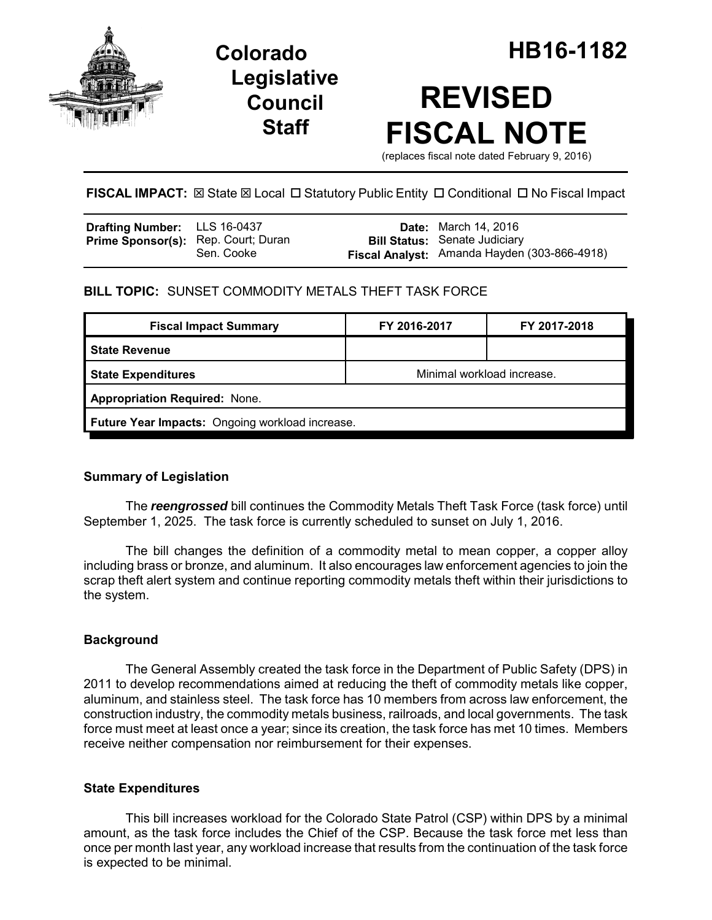

## **Legislative Council Staff**

# **REVISED FISCAL NOTE**

(replaces fiscal note dated February 9, 2016)

**FISCAL IMPACT:**  $\boxtimes$  State  $\boxtimes$  Local  $\Box$  Statutory Public Entity  $\Box$  Conditional  $\Box$  No Fiscal Impact

| <b>Drafting Number:</b> LLS 16-0437        |            | <b>Date:</b> March 14, 2016                                                          |
|--------------------------------------------|------------|--------------------------------------------------------------------------------------|
| <b>Prime Sponsor(s):</b> Rep. Court; Duran | Sen. Cooke | <b>Bill Status:</b> Senate Judiciary<br>Fiscal Analyst: Amanda Hayden (303-866-4918) |

## **BILL TOPIC:** SUNSET COMMODITY METALS THEFT TASK FORCE

| <b>Fiscal Impact Summary</b>                    | FY 2016-2017               | FY 2017-2018 |  |  |  |
|-------------------------------------------------|----------------------------|--------------|--|--|--|
| <b>State Revenue</b>                            |                            |              |  |  |  |
| <b>State Expenditures</b>                       | Minimal workload increase. |              |  |  |  |
| <b>Appropriation Required: None.</b>            |                            |              |  |  |  |
| Future Year Impacts: Ongoing workload increase. |                            |              |  |  |  |

## **Summary of Legislation**

The *reengrossed* bill continues the Commodity Metals Theft Task Force (task force) until September 1, 2025. The task force is currently scheduled to sunset on July 1, 2016.

The bill changes the definition of a commodity metal to mean copper, a copper alloy including brass or bronze, and aluminum. It also encourages law enforcement agencies to join the scrap theft alert system and continue reporting commodity metals theft within their jurisdictions to the system.

## **Background**

The General Assembly created the task force in the Department of Public Safety (DPS) in 2011 to develop recommendations aimed at reducing the theft of commodity metals like copper, aluminum, and stainless steel. The task force has 10 members from across law enforcement, the construction industry, the commodity metals business, railroads, and local governments. The task force must meet at least once a year; since its creation, the task force has met 10 times. Members receive neither compensation nor reimbursement for their expenses.

### **State Expenditures**

This bill increases workload for the Colorado State Patrol (CSP) within DPS by a minimal amount, as the task force includes the Chief of the CSP. Because the task force met less than once per month last year, any workload increase that results from the continuation of the task force is expected to be minimal.